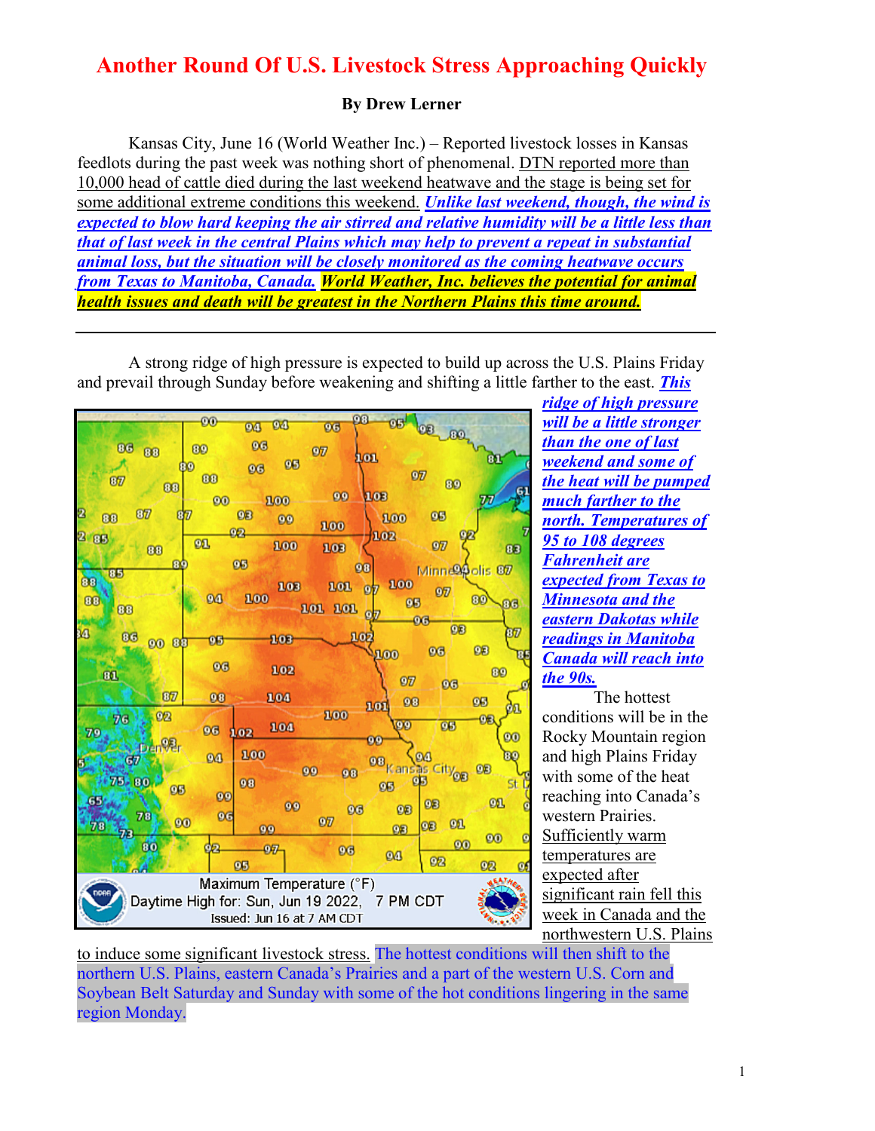## **Another Round Of U.S. Livestock Stress Approaching Quickly**

## **By Drew Lerner**

Kansas City, June 16 (World Weather Inc.) – Reported livestock losses in Kansas feedlots during the past week was nothing short of phenomenal. DTN reported more than 10,000 head of cattle died during the last weekend heatwave and the stage is being set for some additional extreme conditions this weekend. *Unlike last weekend, though, the wind is expected to blow hard keeping the air stirred and relative humidity will be a little less than that of last week in the central Plains which may help to prevent a repeat in substantial animal loss, but the situation will be closely monitored as the coming heatwave occurs from Texas to Manitoba, Canada. World Weather, Inc. believes the potential for animal health issues and death will be greatest in the Northern Plains this time around.*

A strong ridge of high pressure is expected to build up across the U.S. Plains Friday and prevail through Sunday before weakening and shifting a little farther to the east. *This* 



*ridge of high pressure will be a little stronger than the one of last weekend and some of the heat will be pumped much farther to the north. Temperatures of 95 to 108 degrees Fahrenheit are expected from Texas to Minnesota and the eastern Dakotas while readings in Manitoba Canada will reach into the 90s.*

The hottest conditions will be in the Rocky Mountain region and high Plains Friday with some of the heat reaching into Canada's western Prairies. Sufficiently warm temperatures are expected after significant rain fell this week in Canada and the northwestern U.S. Plains

to induce some significant livestock stress. The hottest conditions will then shift to the northern U.S. Plains, eastern Canada's Prairies and a part of the western U.S. Corn and Soybean Belt Saturday and Sunday with some of the hot conditions lingering in the same region Monday.